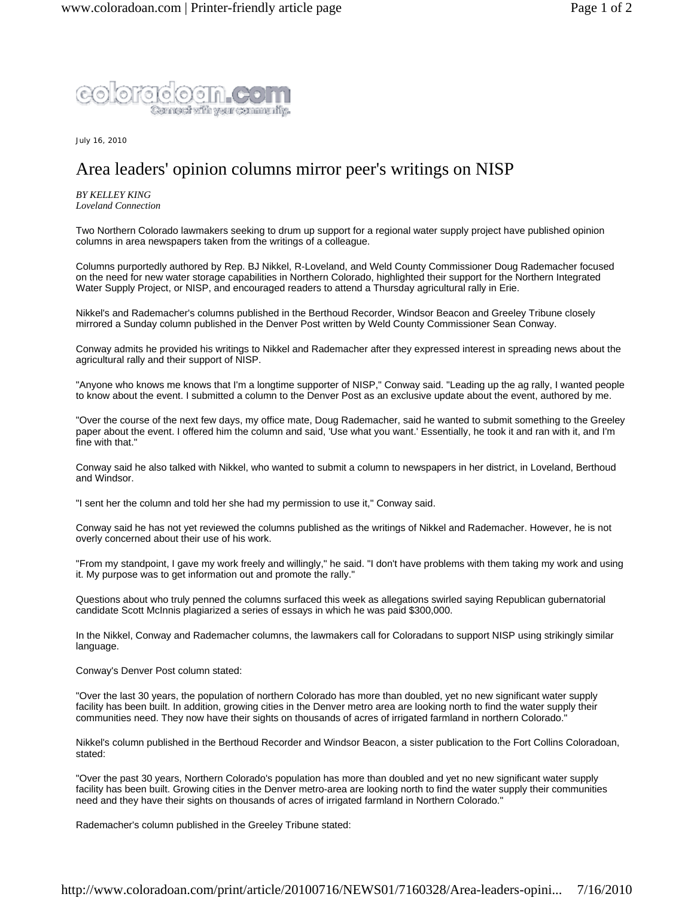

July 16, 2010

## Area leaders' opinion columns mirror peer's writings on NISP

*BY KELLEY KING Loveland Connection*

Two Northern Colorado lawmakers seeking to drum up support for a regional water supply project have published opinion columns in area newspapers taken from the writings of a colleague.

Columns purportedly authored by Rep. BJ Nikkel, R-Loveland, and Weld County Commissioner Doug Rademacher focused on the need for new water storage capabilities in Northern Colorado, highlighted their support for the Northern Integrated Water Supply Project, or NISP, and encouraged readers to attend a Thursday agricultural rally in Erie.

Nikkel's and Rademacher's columns published in the Berthoud Recorder, Windsor Beacon and Greeley Tribune closely mirrored a Sunday column published in the Denver Post written by Weld County Commissioner Sean Conway.

Conway admits he provided his writings to Nikkel and Rademacher after they expressed interest in spreading news about the agricultural rally and their support of NISP.

"Anyone who knows me knows that I'm a longtime supporter of NISP," Conway said. "Leading up the ag rally, I wanted people to know about the event. I submitted a column to the Denver Post as an exclusive update about the event, authored by me.

"Over the course of the next few days, my office mate, Doug Rademacher, said he wanted to submit something to the Greeley paper about the event. I offered him the column and said, 'Use what you want.' Essentially, he took it and ran with it, and I'm fine with that."

Conway said he also talked with Nikkel, who wanted to submit a column to newspapers in her district, in Loveland, Berthoud and Windsor.

"I sent her the column and told her she had my permission to use it," Conway said.

Conway said he has not yet reviewed the columns published as the writings of Nikkel and Rademacher. However, he is not overly concerned about their use of his work.

"From my standpoint, I gave my work freely and willingly," he said. "I don't have problems with them taking my work and using it. My purpose was to get information out and promote the rally."

Questions about who truly penned the columns surfaced this week as allegations swirled saying Republican gubernatorial candidate Scott McInnis plagiarized a series of essays in which he was paid \$300,000.

In the Nikkel, Conway and Rademacher columns, the lawmakers call for Coloradans to support NISP using strikingly similar language.

Conway's Denver Post column stated:

"Over the last 30 years, the population of northern Colorado has more than doubled, yet no new significant water supply facility has been built. In addition, growing cities in the Denver metro area are looking north to find the water supply their communities need. They now have their sights on thousands of acres of irrigated farmland in northern Colorado."

Nikkel's column published in the Berthoud Recorder and Windsor Beacon, a sister publication to the Fort Collins Coloradoan, stated:

"Over the past 30 years, Northern Colorado's population has more than doubled and yet no new significant water supply facility has been built. Growing cities in the Denver metro-area are looking north to find the water supply their communities need and they have their sights on thousands of acres of irrigated farmland in Northern Colorado."

Rademacher's column published in the Greeley Tribune stated: